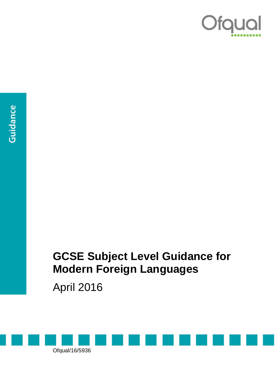

## **GCSE Subject Level Guidance for Modern Foreign Languages**

April 2016

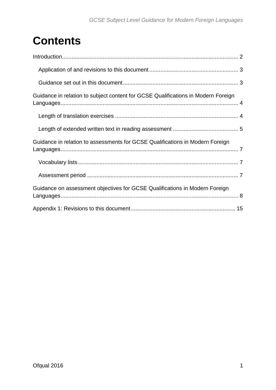# **Contents**

| Guidance in relation to subject content for GCSE Qualifications in Modern Foreign |
|-----------------------------------------------------------------------------------|
|                                                                                   |
|                                                                                   |
| Guidance in relation to assessments for GCSE Qualifications in Modern Foreign     |
|                                                                                   |
|                                                                                   |
| Guidance on assessment objectives for GCSE Qualifications in Modern Foreign       |
|                                                                                   |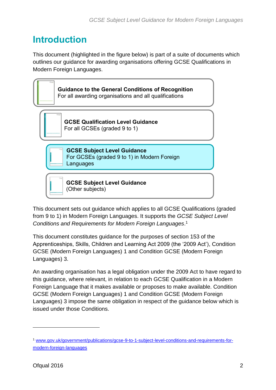## <span id="page-2-0"></span>**Introduction**

This document (highlighted in the figure below) is part of a suite of documents which outlines our guidance for awarding organisations offering GCSE Qualifications in Modern Foreign Languages.



This document sets out guidance which applies to all GCSE Qualifications (graded from 9 to 1) in Modern Foreign Languages. It supports the *GCSE Subject Level Conditions and Requirements for Modern Foreign Languages*. 1

This document constitutes guidance for the purposes of section 153 of the Apprenticeships, Skills, Children and Learning Act 2009 (the '2009 Act'), Condition GCSE (Modern Foreign Languages) 1 and Condition GCSE (Modern Foreign Languages) 3.

An awarding organisation has a legal obligation under the 2009 Act to have regard to this guidance, where relevant, in relation to each GCSE Qualification in a Modern Foreign Language that it makes available or proposes to make available. Condition GCSE (Modern Foreign Languages) 1 and Condition GCSE (Modern Foreign Languages) 3 impose the same obligation in respect of the guidance below which is issued under those Conditions.

 $\overline{a}$ 

<sup>1</sup> [www.gov.uk/government/publications/gcse-9-to-1-subject-level-conditions-and-requirements-for](https://www.gov.uk/government/publications/gcse-9-to-1-subject-level-conditions-and-requirements-for-modern-foreign-languages)[modern-foreign-languages](https://www.gov.uk/government/publications/gcse-9-to-1-subject-level-conditions-and-requirements-for-modern-foreign-languages)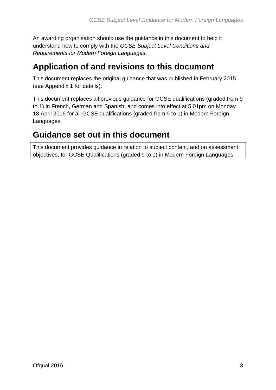An awarding organisation should use the guidance in this document to help it understand how to comply with the *GCSE Subject Level Conditions and Requirements for Modern Foreign Languages*.

#### <span id="page-3-0"></span>**Application of and revisions to this document**

This document replaces the original guidance that was published in February 2015 (see Appendix 1 for details).

This document replaces all previous guidance for GCSE qualifications (graded from 9 to 1) in French, German and Spanish, and comes into effect at 5.01pm on Monday 18 April 2016 for all GCSE qualifications (graded from 9 to 1) in Modern Foreign Languages.

#### <span id="page-3-1"></span>**Guidance set out in this document**

This document provides guidance in relation to subject content, and on assessment objectives, for GCSE Qualifications (graded 9 to 1) in Modern Foreign Languages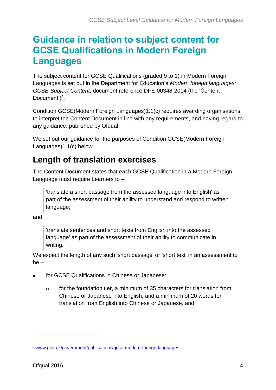## <span id="page-4-0"></span>**Guidance in relation to subject content for GCSE Qualifications in Modern Foreign Languages**

The subject content for GCSE Qualifications (graded 9 to 1) in Modern Foreign Languages is set out in the Department for Education's *Modern foreign languages: GCSE Subject Content*, document reference DFE-00348-2014 (the 'Content Document')<sup>2</sup>.

Condition GCSE(Modern Foreign Languages)1.1(c) requires awarding organisations to interpret the Content Document in line with any requirements, and having regard to any guidance, published by Ofqual.

We set out our guidance for the purposes of Condition GCSE(Modern Foreign Languages)1.1(c) below.

## <span id="page-4-1"></span>**Length of translation exercises**

The Content Document states that each GCSE Qualification in a Modern Foreign Language must require Learners to –

'translate a short passage from the assessed language into English' as part of the assessment of their ability to understand and respond to written language,

and

'translate sentences and short texts from English into the assessed language' as part of the assessment of their ability to communicate in writing.

We expect the length of any such 'short passage' or 'short text' in an assessment to be –

- for GCSE Qualifications in Chinese or Japanese:
	- for the foundation tier, a minimum of 35 characters for translation from Chinese or Japanese into English, and a minimum of 20 words for translation from English into Chinese or Japanese, and

 $\overline{a}$ 

<sup>2</sup> [www.gov.uk/government/publications/gcse-modern-foreign-languages](https://www.gov.uk/government/publications/gcse-modern-foreign-languages)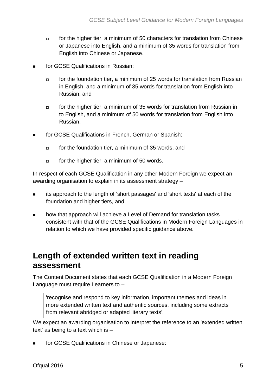- $\Box$  for the higher tier, a minimum of 50 characters for translation from Chinese or Japanese into English, and a minimum of 35 words for translation from English into Chinese or Japanese.
- for GCSE Qualifications in Russian:
	- $\Box$  for the foundation tier, a minimum of 25 words for translation from Russian in English, and a minimum of 35 words for translation from English into Russian, and
	- $\Box$  for the higher tier, a minimum of 35 words for translation from Russian in to English, and a minimum of 50 words for translation from English into Russian.
- for GCSE Qualifications in French, German or Spanish:
	- $\Box$  for the foundation tier, a minimum of 35 words, and
	- $\Box$  for the higher tier, a minimum of 50 words.

In respect of each GCSE Qualification in any other Modern Foreign we expect an awarding organisation to explain in its assessment strategy –

- its approach to the length of 'short passages' and 'short texts' at each of the foundation and higher tiers, and
- how that approach will achieve a Level of Demand for translation tasks consistent with that of the GCSE Qualifications in Modern Foreign Languages in relation to which we have provided specific guidance above.

#### <span id="page-5-0"></span>**Length of extended written text in reading assessment**

The Content Document states that each GCSE Qualification in a Modern Foreign Language must require Learners to –

'recognise and respond to key information, important themes and ideas in more extended written text and authentic sources, including some extracts from relevant abridged or adapted literary texts'.

We expect an awarding organisation to interpret the reference to an 'extended written text' as being to a text which is –

**for GCSE Qualifications in Chinese or Japanese:**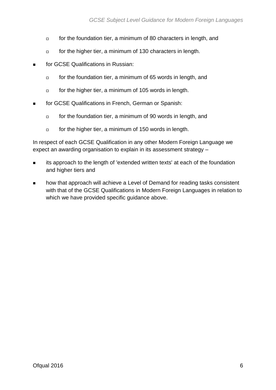- for the foundation tier, a minimum of 80 characters in length, and
- for the higher tier, a minimum of 130 characters in length.
- for GCSE Qualifications in Russian:
	- $\Box$  for the foundation tier, a minimum of 65 words in length, and
	- for the higher tier, a minimum of 105 words in length.
- **for GCSE Qualifications in French, German or Spanish:** 
	- $\Box$  for the foundation tier, a minimum of 90 words in length, and
	- for the higher tier, a minimum of 150 words in length.

In respect of each GCSE Qualification in any other Modern Foreign Language we expect an awarding organisation to explain in its assessment strategy –

- its approach to the length of 'extended written texts' at each of the foundation and higher tiers and
- **how that approach will achieve a Level of Demand for reading tasks consistent** with that of the GCSE Qualifications in Modern Foreign Languages in relation to which we have provided specific guidance above.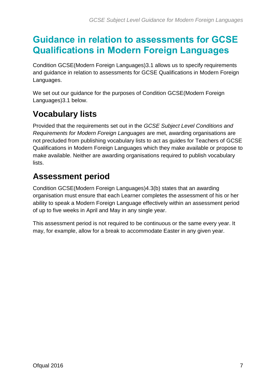## <span id="page-7-0"></span>**Guidance in relation to assessments for GCSE Qualifications in Modern Foreign Languages**

Condition GCSE(Modern Foreign Languages)3.1 allows us to specify requirements and guidance in relation to assessments for GCSE Qualifications in Modern Foreign Languages.

We set out our guidance for the purposes of Condition GCSE(Modern Foreign Languages)3.1 below.

## <span id="page-7-1"></span>**Vocabulary lists**

Provided that the requirements set out in the *GCSE Subject Level Conditions and Requirements for Modern Foreign Languages* are met, awarding organisations are not precluded from publishing vocabulary lists to act as guides for Teachers of GCSE Qualifications in Modern Foreign Languages which they make available or propose to make available. Neither are awarding organisations required to publish vocabulary lists.

#### <span id="page-7-2"></span>**Assessment period**

Condition GCSE(Modern Foreign Languages)4.3(b) states that an awarding organisation must ensure that each Learner completes the assessment of his or her ability to speak a Modern Foreign Language effectively within an assessment period of up to five weeks in April and May in any single year.

This assessment period is not required to be continuous or the same every year. It may, for example, allow for a break to accommodate Easter in any given year.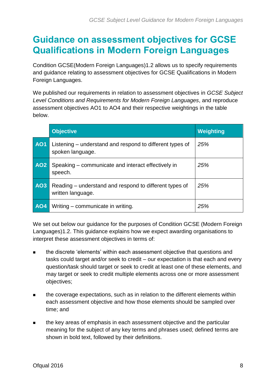## <span id="page-8-0"></span>**Guidance on assessment objectives for GCSE Qualifications in Modern Foreign Languages**

Condition GCSE(Modern Foreign Languages)1.2 allows us to specify requirements and guidance relating to assessment objectives for GCSE Qualifications in Modern Foreign Languages.

We published our requirements in relation to assessment objectives in *GCSE Subject Level Conditions and Requirements for Modern Foreign Languages*, and reproduce assessment objectives AO1 to AO4 and their respective weightings in the table below.

|                 | <b>Objective</b>                                                             | Weighting |
|-----------------|------------------------------------------------------------------------------|-----------|
| <b>AO1</b>      | Listening – understand and respond to different types of<br>spoken language. | 25%       |
| AO <sub>2</sub> | Speaking – communicate and interact effectively in<br>speech.                | 25%       |
| AO3             | Reading – understand and respond to different types of<br>written language.  | 25%       |
| <b>AO4</b>      | Writing – communicate in writing.                                            | 25%       |

We set out below our guidance for the purposes of Condition GCSE (Modern Foreign Languages)1.2. This guidance explains how we expect awarding organisations to interpret these assessment objectives in terms of:

- the discrete 'elements' within each assessment objective that questions and tasks could target and/or seek to credit – our expectation is that each and every question/task should target or seek to credit at least one of these elements, and may target or seek to credit multiple elements across one or more assessment objectives;
- the coverage expectations, such as in relation to the different elements within each assessment objective and how those elements should be sampled over time; and
- **the key areas of emphasis in each assessment objective and the particular** meaning for the subject of any key terms and phrases used; defined terms are shown in bold text, followed by their definitions.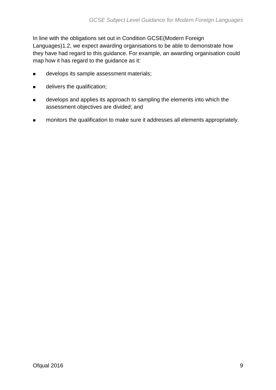In line with the obligations set out in Condition GCSE(Modern Foreign Languages)1.2, we expect awarding organisations to be able to demonstrate how they have had regard to this guidance. For example, an awarding organisation could map how it has regard to the guidance as it:

- **develops its sample assessment materials;**
- $\blacksquare$  delivers the qualification;
- **EXECT** develops and applies its approach to sampling the elements into which the assessment objectives are divided; and
- **EXEDENT** monitors the qualification to make sure it addresses all elements appropriately.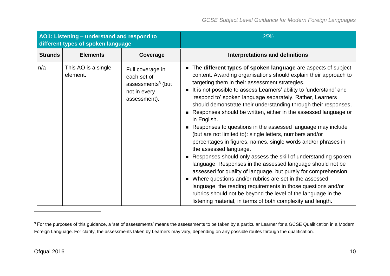| AO1: Listening - understand and respond to<br>different types of spoken language |                                 |                                                                                                  | 25%                                                                                                                                                                                                                                                                                                                                                                                                                                                                                                                                                                                                                                                                                                                                                                                                                                                                                                                                                                                                                                                                                                                                                                                                |
|----------------------------------------------------------------------------------|---------------------------------|--------------------------------------------------------------------------------------------------|----------------------------------------------------------------------------------------------------------------------------------------------------------------------------------------------------------------------------------------------------------------------------------------------------------------------------------------------------------------------------------------------------------------------------------------------------------------------------------------------------------------------------------------------------------------------------------------------------------------------------------------------------------------------------------------------------------------------------------------------------------------------------------------------------------------------------------------------------------------------------------------------------------------------------------------------------------------------------------------------------------------------------------------------------------------------------------------------------------------------------------------------------------------------------------------------------|
| <b>Strands</b>                                                                   | <b>Elements</b>                 | Coverage                                                                                         | <b>Interpretations and definitions</b>                                                                                                                                                                                                                                                                                                                                                                                                                                                                                                                                                                                                                                                                                                                                                                                                                                                                                                                                                                                                                                                                                                                                                             |
| n/a                                                                              | This AO is a single<br>element. | Full coverage in<br>each set of<br>assessments <sup>3</sup> (but<br>not in every<br>assessment). | The different types of spoken language are aspects of subject<br>$\blacksquare$<br>content. Awarding organisations should explain their approach to<br>targeting them in their assessment strategies.<br>It is not possible to assess Learners' ability to 'understand' and<br>'respond to' spoken language separately. Rather, Learners<br>should demonstrate their understanding through their responses.<br>Responses should be written, either in the assessed language or<br>in English.<br>Responses to questions in the assessed language may include<br>(but are not limited to): single letters, numbers and/or<br>percentages in figures, names, single words and/or phrases in<br>the assessed language.<br>Responses should only assess the skill of understanding spoken<br>language. Responses in the assessed language should not be<br>assessed for quality of language, but purely for comprehension.<br>Where questions and/or rubrics are set in the assessed<br>$\blacksquare$<br>language, the reading requirements in those questions and/or<br>rubrics should not be beyond the level of the language in the<br>listening material, in terms of both complexity and length. |

 $\overline{a}$ 

<sup>&</sup>lt;sup>3</sup> For the purposes of this guidance, a 'set of assessments' means the assessments to be taken by a particular Learner for a GCSE Qualification in a Modern Foreign Language. For clarity, the assessments taken by Learners may vary, depending on any possible routes through the qualification.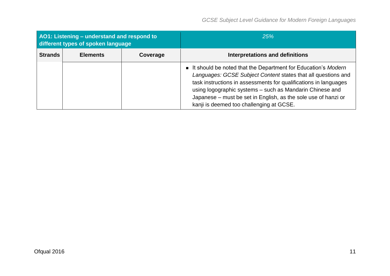| AO1: Listening - understand and respond to<br>different types of spoken language |                 |          | 25%                                                                                                                                                                                                                                                                                                                                                                          |
|----------------------------------------------------------------------------------|-----------------|----------|------------------------------------------------------------------------------------------------------------------------------------------------------------------------------------------------------------------------------------------------------------------------------------------------------------------------------------------------------------------------------|
| <b>Strands</b>                                                                   | <b>Elements</b> | Coverage | Interpretations and definitions                                                                                                                                                                                                                                                                                                                                              |
|                                                                                  |                 |          | It should be noted that the Department for Education's Modern<br>Languages: GCSE Subject Content states that all questions and<br>task instructions in assessments for qualifications in languages<br>using logographic systems - such as Mandarin Chinese and<br>Japanese - must be set in English, as the sole use of hanzi or<br>kanji is deemed too challenging at GCSE. |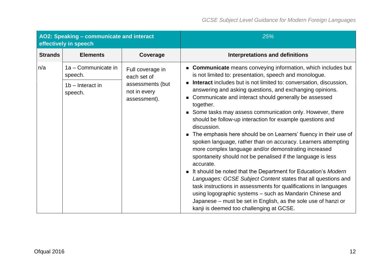| AO2: Speaking - communicate and interact<br>effectively in speech |                                                                 |                                                                                     | 25%                                                                                                                                                                                                                                                                                                                                                                                                                                                                                                                                                                                                                                                                                                                                                                                                                                                                                                                                                                                                                                                                                                                                                                |
|-------------------------------------------------------------------|-----------------------------------------------------------------|-------------------------------------------------------------------------------------|--------------------------------------------------------------------------------------------------------------------------------------------------------------------------------------------------------------------------------------------------------------------------------------------------------------------------------------------------------------------------------------------------------------------------------------------------------------------------------------------------------------------------------------------------------------------------------------------------------------------------------------------------------------------------------------------------------------------------------------------------------------------------------------------------------------------------------------------------------------------------------------------------------------------------------------------------------------------------------------------------------------------------------------------------------------------------------------------------------------------------------------------------------------------|
| <b>Strands</b>                                                    | <b>Elements</b>                                                 | Coverage                                                                            | <b>Interpretations and definitions</b>                                                                                                                                                                                                                                                                                                                                                                                                                                                                                                                                                                                                                                                                                                                                                                                                                                                                                                                                                                                                                                                                                                                             |
| n/a                                                               | 1a - Communicate in<br>speech.<br>$1b$ – Interact in<br>speech. | Full coverage in<br>each set of<br>assessments (but<br>not in every<br>assessment). | <b>Communicate</b> means conveying information, which includes but<br>is not limited to: presentation, speech and monologue.<br><b>Interact</b> includes but is not limited to: conversation, discussion,<br>answering and asking questions, and exchanging opinions.<br>■ Communicate and interact should generally be assessed<br>together.<br>■ Some tasks may assess communication only. However, there<br>should be follow-up interaction for example questions and<br>discussion.<br>The emphasis here should be on Learners' fluency in their use of<br>$\blacksquare$<br>spoken language, rather than on accuracy. Learners attempting<br>more complex language and/or demonstrating increased<br>spontaneity should not be penalised if the language is less<br>accurate.<br>It should be noted that the Department for Education's Modern<br>Languages: GCSE Subject Content states that all questions and<br>task instructions in assessments for qualifications in languages<br>using logographic systems - such as Mandarin Chinese and<br>Japanese – must be set in English, as the sole use of hanzi or<br>kanji is deemed too challenging at GCSE. |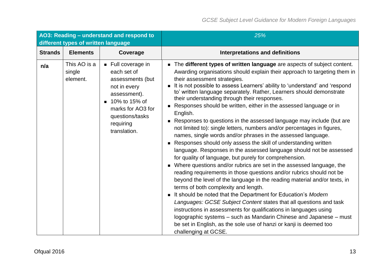| AO3: Reading - understand and respond to<br>different types of written language |                                    |                                                                                                                                                                                            | 25%                                                                                                                                                                                                                                                                                                                                                                                                                                                                                                                                                                                                                                                                                                                                                                                                                                                                                                                                                                                                                                                                                                                                                                                                                                                                                                                                                                                                                                                                                                                                                       |
|---------------------------------------------------------------------------------|------------------------------------|--------------------------------------------------------------------------------------------------------------------------------------------------------------------------------------------|-----------------------------------------------------------------------------------------------------------------------------------------------------------------------------------------------------------------------------------------------------------------------------------------------------------------------------------------------------------------------------------------------------------------------------------------------------------------------------------------------------------------------------------------------------------------------------------------------------------------------------------------------------------------------------------------------------------------------------------------------------------------------------------------------------------------------------------------------------------------------------------------------------------------------------------------------------------------------------------------------------------------------------------------------------------------------------------------------------------------------------------------------------------------------------------------------------------------------------------------------------------------------------------------------------------------------------------------------------------------------------------------------------------------------------------------------------------------------------------------------------------------------------------------------------------|
| <b>Strands</b>                                                                  | <b>Elements</b>                    | Coverage                                                                                                                                                                                   | <b>Interpretations and definitions</b>                                                                                                                                                                                                                                                                                                                                                                                                                                                                                                                                                                                                                                                                                                                                                                                                                                                                                                                                                                                                                                                                                                                                                                                                                                                                                                                                                                                                                                                                                                                    |
| n/a                                                                             | This AO is a<br>single<br>element. | $\blacksquare$ Full coverage in<br>each set of<br>assessments (but<br>not in every<br>assessment).<br>■ 10% to 15% of<br>marks for AO3 for<br>questions/tasks<br>requiring<br>translation. | The different types of written language are aspects of subject content.<br>Awarding organisations should explain their approach to targeting them in<br>their assessment strategies.<br>It is not possible to assess Learners' ability to 'understand' and 'respond<br>to' written language separately. Rather, Learners should demonstrate<br>their understanding through their responses.<br>Responses should be written, either in the assessed language or in<br>English.<br>Responses to questions in the assessed language may include (but are<br>not limited to): single letters, numbers and/or percentages in figures,<br>names, single words and/or phrases in the assessed language.<br>Responses should only assess the skill of understanding written<br>language. Responses in the assessed language should not be assessed<br>for quality of language, but purely for comprehension.<br>Where questions and/or rubrics are set in the assessed language, the<br>reading requirements in those questions and/or rubrics should not be<br>beyond the level of the language in the reading material and/or texts, in<br>terms of both complexity and length.<br>It should be noted that the Department for Education's Modern<br>Languages: GCSE Subject Content states that all questions and task<br>instructions in assessments for qualifications in languages using<br>logographic systems – such as Mandarin Chinese and Japanese – must<br>be set in English, as the sole use of hanzi or kanji is deemed too<br>challenging at GCSE. |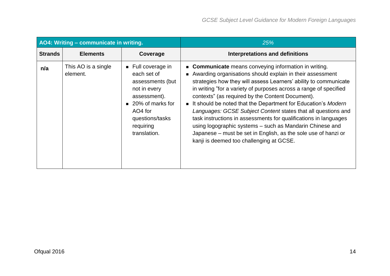| AO4: Writing - communicate in writing. |                                 |                                                                                                                                                                                     | 25%                                                                                                                                                                                                                                                                                                                                                                                                                                                                                                                                                                                                                                                                                             |
|----------------------------------------|---------------------------------|-------------------------------------------------------------------------------------------------------------------------------------------------------------------------------------|-------------------------------------------------------------------------------------------------------------------------------------------------------------------------------------------------------------------------------------------------------------------------------------------------------------------------------------------------------------------------------------------------------------------------------------------------------------------------------------------------------------------------------------------------------------------------------------------------------------------------------------------------------------------------------------------------|
| <b>Strands</b>                         | <b>Elements</b>                 | Coverage                                                                                                                                                                            | <b>Interpretations and definitions</b>                                                                                                                                                                                                                                                                                                                                                                                                                                                                                                                                                                                                                                                          |
| n/a                                    | This AO is a single<br>element. | $\blacksquare$ Full coverage in<br>each set of<br>assessments (but<br>not in every<br>assessment).<br>■ 20% of marks for<br>AO4 for<br>questions/tasks<br>requiring<br>translation. | • Communicate means conveying information in writing.<br>Awarding organisations should explain in their assessment<br>strategies how they will assess Learners' ability to communicate<br>in writing "for a variety of purposes across a range of specified<br>contexts" (as required by the Content Document).<br>It should be noted that the Department for Education's Modern<br>Languages: GCSE Subject Content states that all questions and<br>task instructions in assessments for qualifications in languages<br>using logographic systems - such as Mandarin Chinese and<br>Japanese – must be set in English, as the sole use of hanzi or<br>kanji is deemed too challenging at GCSE. |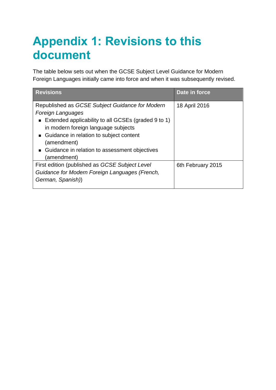# <span id="page-15-0"></span>**Appendix 1: Revisions to this document**

The table below sets out when the GCSE Subject Level Guidance for Modern Foreign Languages initially came into force and when it was subsequently revised.

| <b>Revisions</b>                                                                                                                                                                                                                                                                                                          | Date in force     |
|---------------------------------------------------------------------------------------------------------------------------------------------------------------------------------------------------------------------------------------------------------------------------------------------------------------------------|-------------------|
| Republished as GCSE Subject Guidance for Modern<br><b>Foreign Languages</b><br>■ Extended applicability to all GCSEs (graded 9 to 1)<br>in modern foreign language subjects<br>■ Guidance in relation to subject content<br>(amendment)<br>Guidance in relation to assessment objectives<br>$\blacksquare$<br>(amendment) | 18 April 2016     |
| First edition (published as GCSE Subject Level<br>Guidance for Modern Foreign Languages (French,<br>German, Spanish))                                                                                                                                                                                                     | 6th February 2015 |